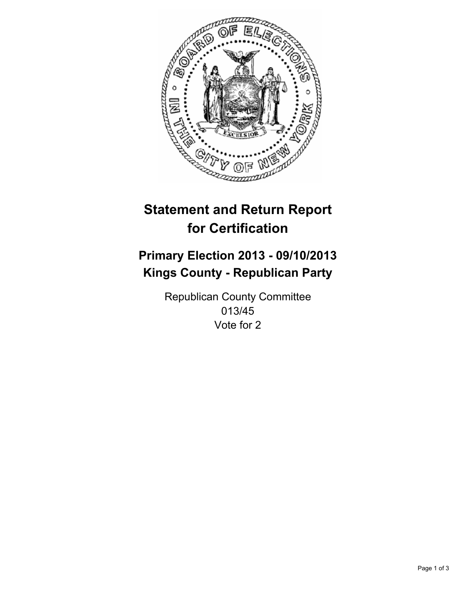

# **Statement and Return Report for Certification**

# **Primary Election 2013 - 09/10/2013 Kings County - Republican Party**

Republican County Committee 013/45 Vote for 2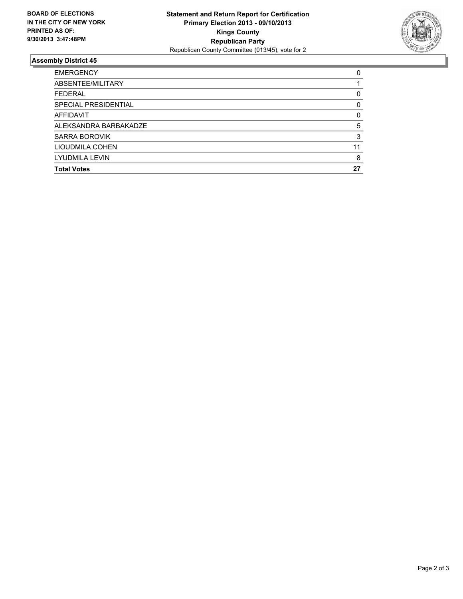

## **Assembly District 45**

| <b>EMERGENCY</b>      | 0  |
|-----------------------|----|
| ABSENTEE/MILITARY     |    |
| <b>FEDERAL</b>        | 0  |
| SPECIAL PRESIDENTIAL  | 0  |
| AFFIDAVIT             | 0  |
| ALEKSANDRA BARBAKADZE | 5  |
| <b>SARRA BOROVIK</b>  | 3  |
| LIOUDMILA COHEN       | 11 |
| <b>LYUDMILA LEVIN</b> | 8  |
| <b>Total Votes</b>    | 27 |